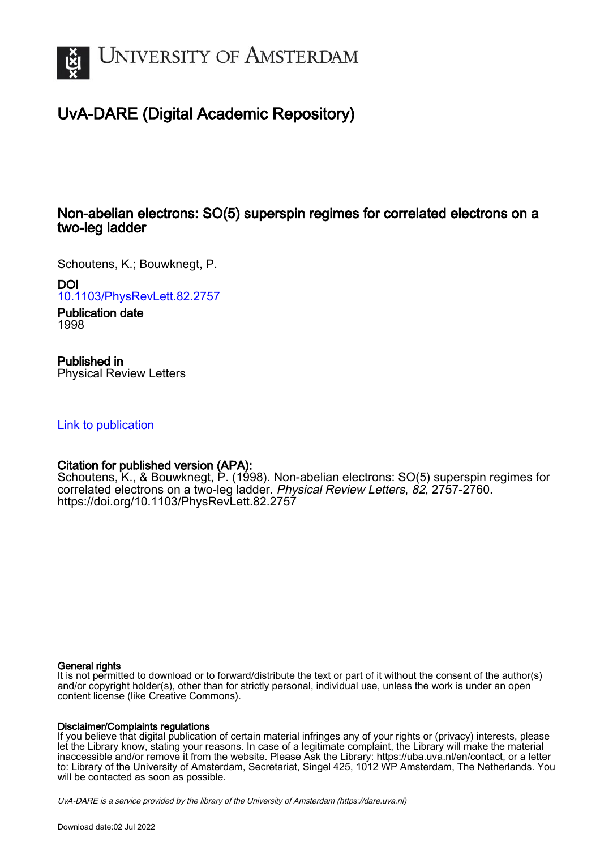

# UvA-DARE (Digital Academic Repository)

## Non-abelian electrons: SO(5) superspin regimes for correlated electrons on a two-leg ladder

Schoutens, K.; Bouwknegt, P.

DOI

[10.1103/PhysRevLett.82.2757](https://doi.org/10.1103/PhysRevLett.82.2757)

Publication date 1998

## Published in

Physical Review Letters

#### [Link to publication](https://dare.uva.nl/personal/pure/en/publications/nonabelian-electrons-so5-superspin-regimes-for-correlated-electrons-on-a-twoleg-ladder(3dbb1379-3367-4709-98aa-f4f7e435baea).html)

### Citation for published version (APA):

Schoutens, K., & Bouwknegt, P. (1998). Non-abelian electrons: SO(5) superspin regimes for correlated electrons on a two-leg ladder. Physical Review Letters, 82, 2757-2760. <https://doi.org/10.1103/PhysRevLett.82.2757>

#### General rights

It is not permitted to download or to forward/distribute the text or part of it without the consent of the author(s) and/or copyright holder(s), other than for strictly personal, individual use, unless the work is under an open content license (like Creative Commons).

#### Disclaimer/Complaints regulations

If you believe that digital publication of certain material infringes any of your rights or (privacy) interests, please let the Library know, stating your reasons. In case of a legitimate complaint, the Library will make the material inaccessible and/or remove it from the website. Please Ask the Library: https://uba.uva.nl/en/contact, or a letter to: Library of the University of Amsterdam, Secretariat, Singel 425, 1012 WP Amsterdam, The Netherlands. You will be contacted as soon as possible.

UvA-DARE is a service provided by the library of the University of Amsterdam (http*s*://dare.uva.nl)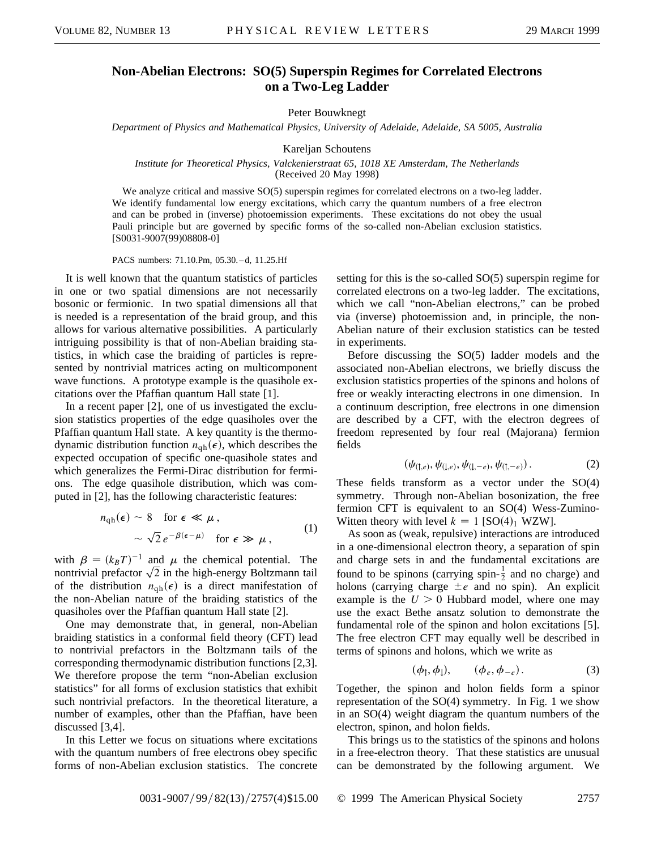#### **Non-Abelian Electrons: SO(5) Superspin Regimes for Correlated Electrons on a Two-Leg Ladder**

Peter Bouwknegt

*Department of Physics and Mathematical Physics, University of Adelaide, Adelaide, SA 5005, Australia*

Kareljan Schoutens

*Institute for Theoretical Physics, Valckenierstraat 65, 1018 XE Amsterdam, The Netherlands* (Received 20 May 1998)

We analyze critical and massive SO(5) superspin regimes for correlated electrons on a two-leg ladder. We identify fundamental low energy excitations, which carry the quantum numbers of a free electron and can be probed in (inverse) photoemission experiments. These excitations do not obey the usual Pauli principle but are governed by specific forms of the so-called non-Abelian exclusion statistics. [S0031-9007(99)08808-0]

PACS numbers: 71.10.Pm, 05.30. – d, 11.25.Hf

It is well known that the quantum statistics of particles in one or two spatial dimensions are not necessarily bosonic or fermionic. In two spatial dimensions all that is needed is a representation of the braid group, and this allows for various alternative possibilities. A particularly intriguing possibility is that of non-Abelian braiding statistics, in which case the braiding of particles is represented by nontrivial matrices acting on multicomponent wave functions. A prototype example is the quasihole excitations over the Pfaffian quantum Hall state [1].

In a recent paper [2], one of us investigated the exclusion statistics properties of the edge quasiholes over the Pfaffian quantum Hall state. A key quantity is the thermodynamic distribution function  $n_{\text{qh}}(\epsilon)$ , which describes the expected occupation of specific one-quasihole states and which generalizes the Fermi-Dirac distribution for fermions. The edge quasihole distribution, which was computed in [2], has the following characteristic features:

$$
n_{\rm qh}(\epsilon) \sim 8 \quad \text{for } \epsilon \ll \mu,
$$
  

$$
\sim \sqrt{2} e^{-\beta(\epsilon - \mu)} \quad \text{for } \epsilon \gg \mu,
$$
 (1)

with  $\beta = (k_B T)^{-1}$  and  $\mu$  the chemical potential. The with  $\beta = (k_B T)^{-1}$  and  $\mu$  the chemical potential. The nontrivial prefactor  $\sqrt{2}$  in the high-energy Boltzmann tail of the distribution  $n_{\text{qh}}(\epsilon)$  is a direct manifestation of the non-Abelian nature of the braiding statistics of the quasiholes over the Pfaffian quantum Hall state [2].

One may demonstrate that, in general, non-Abelian braiding statistics in a conformal field theory (CFT) lead to nontrivial prefactors in the Boltzmann tails of the corresponding thermodynamic distribution functions [2,3]. We therefore propose the term "non-Abelian exclusion statistics" for all forms of exclusion statistics that exhibit such nontrivial prefactors. In the theoretical literature, a number of examples, other than the Pfaffian, have been discussed [3,4].

In this Letter we focus on situations where excitations with the quantum numbers of free electrons obey specific forms of non-Abelian exclusion statistics. The concrete

setting for this is the so-called SO(5) superspin regime for correlated electrons on a two-leg ladder. The excitations, which we call "non-Abelian electrons," can be probed via (inverse) photoemission and, in principle, the non-Abelian nature of their exclusion statistics can be tested in experiments.

Before discussing the SO(5) ladder models and the associated non-Abelian electrons, we briefly discuss the exclusion statistics properties of the spinons and holons of free or weakly interacting electrons in one dimension. In a continuum description, free electrons in one dimension are described by a CFT, with the electron degrees of freedom represented by four real (Majorana) fermion fields

$$
(\psi_{(1,e)}, \psi_{(1,e)}, \psi_{(1,-e)}, \psi_{(1,-e)}).
$$
 (2)

These fields transform as a vector under the SO(4) symmetry. Through non-Abelian bosonization, the free fermion CFT is equivalent to an SO(4) Wess-Zumino-Witten theory with level  $k = 1$  [SO(4)<sub>1</sub> WZW].

As soon as (weak, repulsive) interactions are introduced in a one-dimensional electron theory, a separation of spin and charge sets in and the fundamental excitations are found to be spinons (carrying spin- $\frac{1}{2}$  and no charge) and holons (carrying charge  $\pm e$  and no spin). An explicit example is the  $U > 0$  Hubbard model, where one may use the exact Bethe ansatz solution to demonstrate the fundamental role of the spinon and holon excitations [5]. The free electron CFT may equally well be described in terms of spinons and holons, which we write as

$$
(\phi_{\uparrow}, \phi_{\downarrow}), \qquad (\phi_e, \phi_{-e}). \tag{3}
$$

Together, the spinon and holon fields form a spinor representation of the SO(4) symmetry. In Fig. 1 we show in an SO(4) weight diagram the quantum numbers of the electron, spinon, and holon fields.

This brings us to the statistics of the spinons and holons in a free-electron theory. That these statistics are unusual can be demonstrated by the following argument. We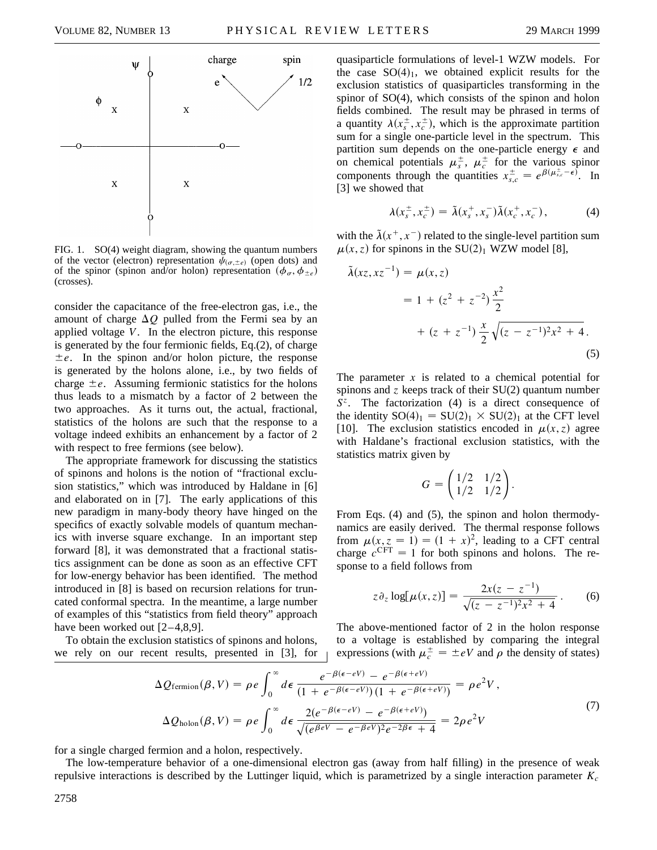

FIG. 1. SO(4) weight diagram, showing the quantum numbers of the vector (electron) representation  $\psi_{(\sigma,\pm e)}$  (open dots) and of the spinor (spinon and/or holon) representation  $(\phi_{\sigma}, \phi_{\pm e})$ (crosses).

consider the capacitance of the free-electron gas, i.e., the amount of charge  $\Delta Q$  pulled from the Fermi sea by an applied voltage *V*. In the electron picture, this response is generated by the four fermionic fields, Eq.(2), of charge  $\pm e$ . In the spinon and/or holon picture, the response is generated by the holons alone, i.e., by two fields of charge  $\pm e$ . Assuming fermionic statistics for the holons thus leads to a mismatch by a factor of 2 between the two approaches. As it turns out, the actual, fractional, statistics of the holons are such that the response to a voltage indeed exhibits an enhancement by a factor of 2 with respect to free fermions (see below).

The appropriate framework for discussing the statistics of spinons and holons is the notion of "fractional exclusion statistics," which was introduced by Haldane in [6] and elaborated on in [7]. The early applications of this new paradigm in many-body theory have hinged on the specifics of exactly solvable models of quantum mechanics with inverse square exchange. In an important step forward [8], it was demonstrated that a fractional statistics assignment can be done as soon as an effective CFT for low-energy behavior has been identified. The method introduced in [8] is based on recursion relations for truncated conformal spectra. In the meantime, a large number of examples of this "statistics from field theory" approach have been worked out [2–4,8,9].

To obtain the exclusion statistics of spinons and holons, we rely on our recent results, presented in [3], for

quasiparticle formulations of level-1 WZW models. For the case  $SO(4)_1$ , we obtained explicit results for the exclusion statistics of quasiparticles transforming in the spinor of SO(4), which consists of the spinon and holon fields combined. The result may be phrased in terms of a quantity  $\lambda(x_s^{\pm}, x_c^{\pm})$ , which is the approximate partition sum for a single one-particle level in the spectrum. This partition sum depends on the one-particle energy  $\epsilon$  and on chemical potentials  $\mu_s^{\pm}$ ,  $\mu_c^{\pm}$  for the various spinor components through the quantities  $x^{\pm}_{s,c} = e^{\beta(\mu^{\pm}_{s,c} - \epsilon)}$ . In [3] we showed that

$$
\lambda(x_s^{\pm}, x_c^{\pm}) = \tilde{\lambda}(x_s^+, x_s^-) \tilde{\lambda}(x_c^+, x_c^-), \tag{4}
$$

with the  $\tilde{\lambda}(x^+, x^-)$  related to the single-level partition sum  $\mu(x, z)$  for spinons in the SU(2)<sub>1</sub> WZW model [8],

$$
\tilde{\lambda}(xz, xz^{-1}) = \mu(x, z)
$$
  
= 1 + (z<sup>2</sup> + z<sup>-2</sup>) $\frac{x^2}{2}$   
+ (z + z<sup>-1</sup>) $\frac{x}{2}\sqrt{(z - z^{-1})^2x^2 + 4}$ . (5)

The parameter  $x$  is related to a chemical potential for spinons and *z* keeps track of their SU(2) quantum number *S<sup>z</sup>* . The factorization (4) is a direct consequence of the identity  $SO(4)_1 = SU(2)_1 \times SU(2)_1$  at the CFT level [10]. The exclusion statistics encoded in  $\mu(x, z)$  agree with Haldane's fractional exclusion statistics, with the statistics matrix given by

$$
G = \begin{pmatrix} 1/2 & 1/2 \\ 1/2 & 1/2 \end{pmatrix}.
$$

From Eqs. (4) and (5), the spinon and holon thermodynamics are easily derived. The thermal response follows from  $\mu(x, z = 1) = (1 + x)^2$ , leading to a CFT central charge  $c^{CFT} = 1$  for both spinons and holons. The response to a field follows from

$$
z \partial_z \log[\mu(x, z)] = \frac{2x(z - z^{-1})}{\sqrt{(z - z^{-1})^2 x^2 + 4}}.
$$
 (6)

The above-mentioned factor of 2 in the holon response to a voltage is established by comparing the integral expressions (with  $\mu_c^{\pm} = \pm eV$  and  $\rho$  the density of states)

$$
\Delta Q_{\text{fermion}}(\beta, V) = \rho e \int_0^\infty d\epsilon \, \frac{e^{-\beta(\epsilon - eV)} - e^{-\beta(\epsilon + eV)}}{(1 + e^{-\beta(\epsilon - eV)})(1 + e^{-\beta(\epsilon + eV)})} = \rho e^2 V,
$$
\n
$$
\Delta Q_{\text{holon}}(\beta, V) = \rho e \int_0^\infty d\epsilon \, \frac{2(e^{-\beta(\epsilon - eV)} - e^{-\beta(\epsilon + eV)})}{\sqrt{(e^{\beta eV} - e^{-\beta eV})^2 e^{-2\beta \epsilon} + 4}} = 2\rho e^2 V
$$
\n(7)

for a single charged fermion and a holon, respectively.

The low-temperature behavior of a one-dimensional electron gas (away from half filling) in the presence of weak repulsive interactions is described by the Luttinger liquid, which is parametrized by a single interaction parameter  $K_c$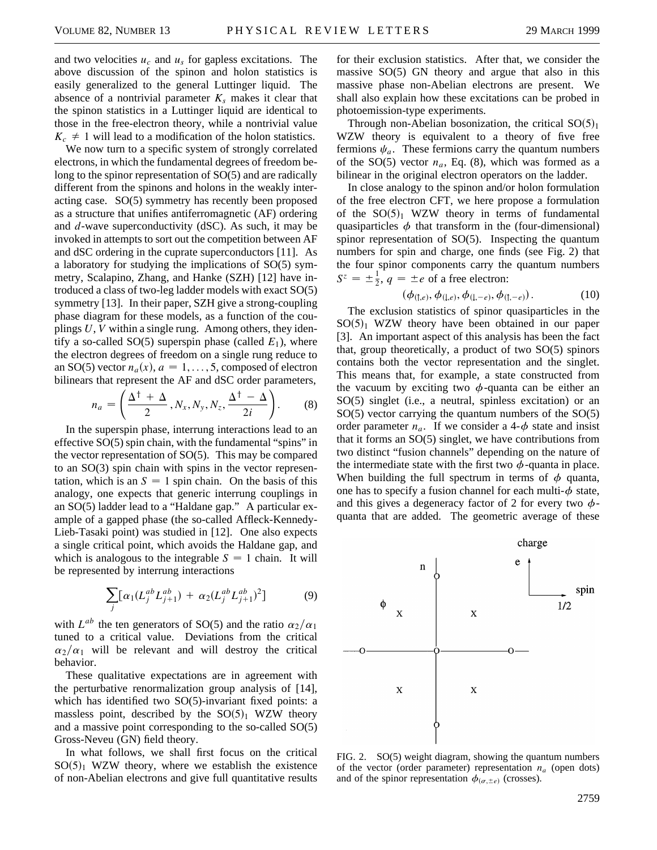and two velocities  $u_c$  and  $u_s$  for gapless excitations. The above discussion of the spinon and holon statistics is easily generalized to the general Luttinger liquid. The absence of a nontrivial parameter  $K_s$  makes it clear that the spinon statistics in a Luttinger liquid are identical to those in the free-electron theory, while a nontrivial value  $K_c \neq 1$  will lead to a modification of the holon statistics.

We now turn to a specific system of strongly correlated electrons, in which the fundamental degrees of freedom belong to the spinor representation of SO(5) and are radically different from the spinons and holons in the weakly interacting case. SO(5) symmetry has recently been proposed as a structure that unifies antiferromagnetic (AF) ordering and *d*-wave superconductivity (dSC). As such, it may be invoked in attempts to sort out the competition between AF and dSC ordering in the cuprate superconductors [11]. As a laboratory for studying the implications of SO(5) symmetry, Scalapino, Zhang, and Hanke (SZH) [12] have introduced a class of two-leg ladder models with exact SO(5) symmetry [13]. In their paper, SZH give a strong-coupling phase diagram for these models, as a function of the couplings *U*, *V* within a single rung. Among others, they identify a so-called SO(5) superspin phase (called  $E_1$ ), where the electron degrees of freedom on a single rung reduce to an SO(5) vector  $n_a(x)$ ,  $a = 1, \ldots, 5$ , composed of electron bilinears that represent the AF and dSC order parameters,

$$
n_a = \left(\frac{\Delta^{\dagger} + \Delta}{2}, N_x, N_y, N_z, \frac{\Delta^{\dagger} - \Delta}{2i}\right). \tag{8}
$$

In the superspin phase, interrung interactions lead to an effective SO(5) spin chain, with the fundamental "spins" in the vector representation of SO(5). This may be compared to an SO(3) spin chain with spins in the vector representation, which is an  $S = 1$  spin chain. On the basis of this analogy, one expects that generic interrung couplings in an SO(5) ladder lead to a "Haldane gap." A particular example of a gapped phase (the so-called Affleck-Kennedy-Lieb-Tasaki point) was studied in [12]. One also expects a single critical point, which avoids the Haldane gap, and which is analogous to the integrable  $S = 1$  chain. It will be represented by interrung interactions

$$
\sum_{j} \left[ \alpha_1 (L_j^{ab} L_{j+1}^{ab}) + \alpha_2 (L_j^{ab} L_{j+1}^{ab})^2 \right] \tag{9}
$$

with  $L^{ab}$  the ten generators of SO(5) and the ratio  $\alpha_2/\alpha_1$ tuned to a critical value. Deviations from the critical  $\alpha_2/\alpha_1$  will be relevant and will destroy the critical behavior.

These qualitative expectations are in agreement with the perturbative renormalization group analysis of [14], which has identified two SO(5)-invariant fixed points: a massless point, described by the  $SO(5)_1$  WZW theory and a massive point corresponding to the so-called SO(5) Gross-Neveu (GN) field theory.

In what follows, we shall first focus on the critical  $SO(5)<sub>1</sub>$  WZW theory, where we establish the existence of non-Abelian electrons and give full quantitative results

for their exclusion statistics. After that, we consider the massive SO(5) GN theory and argue that also in this massive phase non-Abelian electrons are present. We shall also explain how these excitations can be probed in photoemission-type experiments.

Through non-Abelian bosonization, the critical  $SO(5)_1$ WZW theory is equivalent to a theory of five free fermions  $\psi_a$ . These fermions carry the quantum numbers of the  $SO(5)$  vector  $n_a$ , Eq. (8), which was formed as a bilinear in the original electron operators on the ladder.

In close analogy to the spinon and/or holon formulation of the free electron CFT, we here propose a formulation of the  $SO(5)<sub>1</sub> WZW$  theory in terms of fundamental quasiparticles  $\phi$  that transform in the (four-dimensional) spinor representation of SO(5). Inspecting the quantum numbers for spin and charge, one finds (see Fig. 2) that the four spinor components carry the quantum numbers  $S^z = \pm \frac{1}{2}$ ,  $q = \pm e$  of a free electron:

$$
(\phi_{(1,e)}, \phi_{(1,e)}, \phi_{(1,-e)}, \phi_{(1,-e)}).
$$
 (10)

The exclusion statistics of spinor quasiparticles in the  $SO(5)<sub>1</sub>$  WZW theory have been obtained in our paper [3]. An important aspect of this analysis has been the fact that, group theoretically, a product of two SO(5) spinors contains both the vector representation and the singlet. This means that, for example, a state constructed from the vacuum by exciting two  $\phi$ -quanta can be either an SO(5) singlet (i.e., a neutral, spinless excitation) or an SO(5) vector carrying the quantum numbers of the SO(5) order parameter  $n_a$ . If we consider a 4- $\phi$  state and insist that it forms an SO(5) singlet, we have contributions from two distinct "fusion channels" depending on the nature of the intermediate state with the first two  $\phi$ -quanta in place. When building the full spectrum in terms of  $\phi$  quanta, one has to specify a fusion channel for each multi- $\phi$  state, and this gives a degeneracy factor of 2 for every two  $\phi$ quanta that are added. The geometric average of these



FIG. 2. SO(5) weight diagram, showing the quantum numbers of the vector (order parameter) representation  $n_a$  (open dots) and of the spinor representation  $\phi_{(\sigma,\pm e)}$  (crosses).